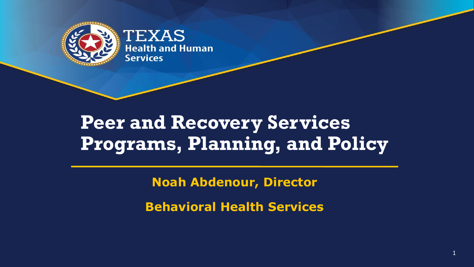

## **Peer and Recovery Services Programs, Planning, and Policy**

**Noah Abdenour, Director**

**Behavioral Health Services**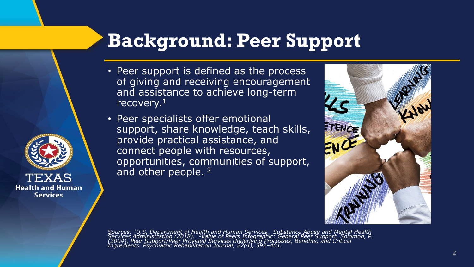## **Background: Peer Support**

• Peer support is defined as the process of giving and receiving encouragement and assistance to achieve long-term recovery.<sup>1</sup>

• Peer specialists offer emotional support, share knowledge, teach skills, provide practical assistance, and connect people with resources, opportunities, communities of support, and other people. <sup>2</sup>

TEXAS **Health and Human Services** 



Sources: 1U.S. Department of Health and Human Services. Substance Abuse and Mental Health<br>Services Administration (2018). <sup>2</sup>Value of Peers Infographic: General Peer Support. Solomon, P.<br>(2004). Peer Support/Peer Provid *Ingredients. Psychiatric Rehabilitation Journal, 27(4), 392–401.*

2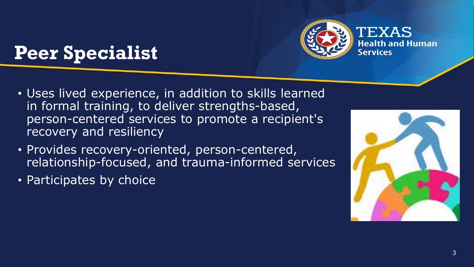# **Peer Specialist**



- Uses lived experience, in addition to skills learned in formal training, to deliver strengths-based, person-centered services to promote a recipient's recovery and resiliency
- Provides recovery-oriented, person-centered, relationship-focused, and trauma-informed services
- Participates by choice

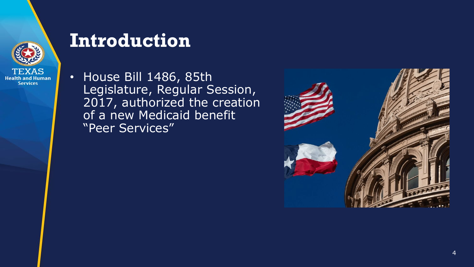

### **Introduction**

• House Bill 1486, 85th Legislature, Regular Session, 2017, authorized the creation of a new Medicaid benefit "Peer Services"

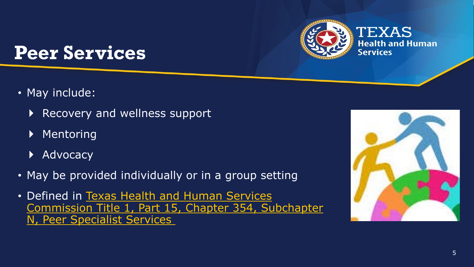

### **Peer Services**

- May include:
	- ▶ Recovery and wellness support
	- ▶ Mentoring
	- ▶ Advocacy
- May be provided individually or in a group setting
- Defined in Texas Health and Human Services [Commission Title 1, Part 15, Chapter 354, Subchapter](https://texreg.sos.state.tx.us/public/readtac$ext.ViewTAC?tac_view=5&ti=1&pt=15&ch=354&sch=N)  N, Peer Specialist Services

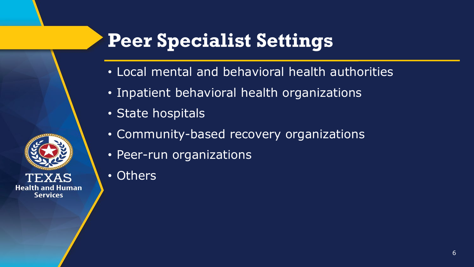# **Peer Specialist Settings**

- Local mental and behavioral health authorities
- Inpatient behavioral health organizations
- State hospitals
- Community-based recovery organizations
- Peer-run organizations
- Others

**Health and Human Services**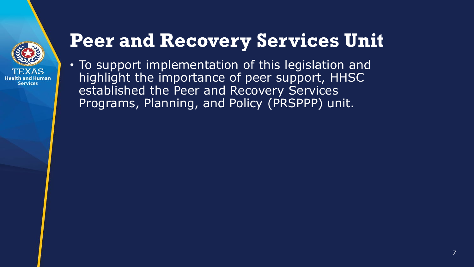

# **Peer and Recovery Services Unit**

• To support implementation of this legislation and highlight the importance of peer support, HHSC established the Peer and Recovery Services Programs, Planning, and Policy (PRSPPP) unit.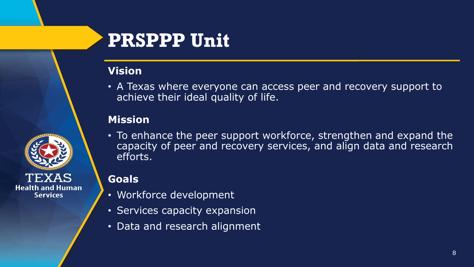

### **PRSPPP Unit**

#### **Vision**

• A Texas where everyone can access peer and recovery support to achieve their ideal quality of life.

#### **Mission**

• To enhance the peer support workforce, strengthen and expand the capacity of peer and recovery services, and align data and research efforts.

#### **Goals**

- Workforce development
- Services capacity expansion
- Data and research alignment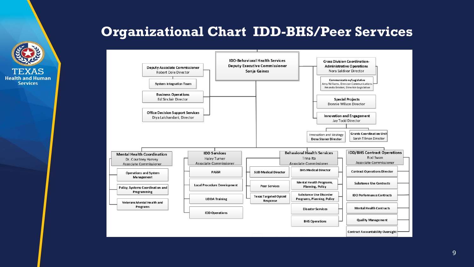

#### **Organizational Chart IDD-BHS/Peer Services**

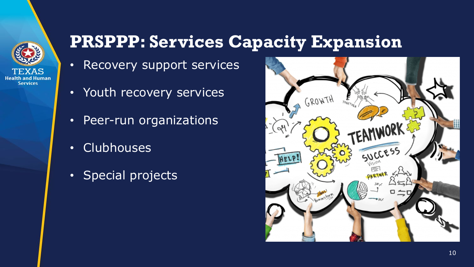

#### **PRSPPP: Services Capacity Expansion**

- Recovery support services
- Youth recovery services
- Peer-run organizations
- Clubhouses
- Special projects

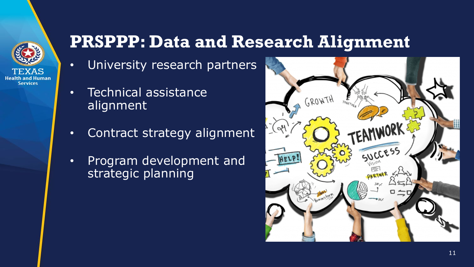

#### **PRSPPP: Data and Research Alignment**

- University research partners
- Technical assistance alignment
- Contract strategy alignment
- Program development and strategic planning

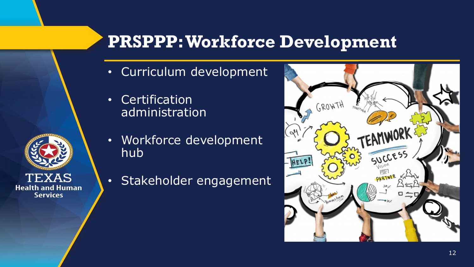#### **PRSPPP: Workforce Development**

- Curriculum development
- Certification administration

XAS

**Health and Human Services** 

- Workforce development hub
- Stakeholder engagement



12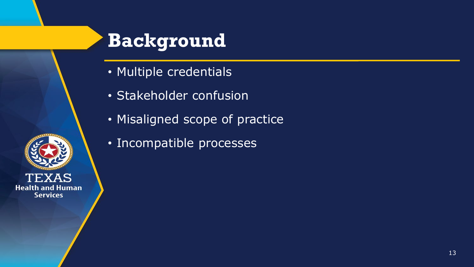

### **Background**

- Multiple credentials
- Stakeholder confusion
- Misaligned scope of practice
- Incompatible processes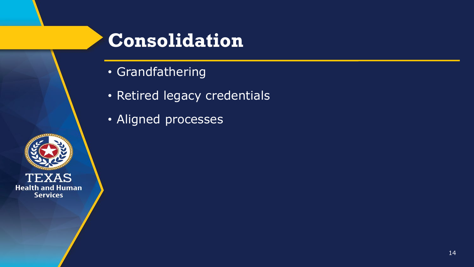

## **Consolidation**

- Grandfathering
- Retired legacy credentials
- · Aligned processes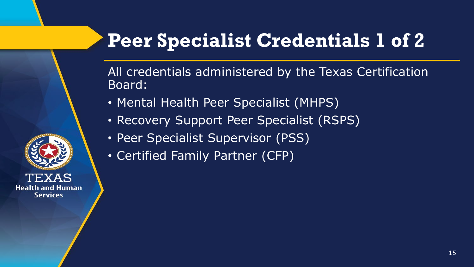# **Peer Specialist Credentials 1 of 2**

All credentials administered by the Texas Certification Board:

- Mental Health Peer Specialist (MHPS)
- Recovery Support Peer Specialist (RSPS)
- Peer Specialist Supervisor (PSS)
- Certified Family Partner (CFP)

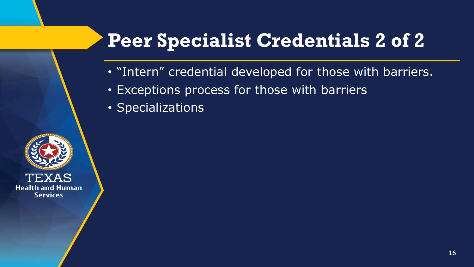# **Peer Specialist Credentials 2 of 2**

- "Intern" credential developed for those with barriers.
- Exceptions process for those with barriers
- Specializations

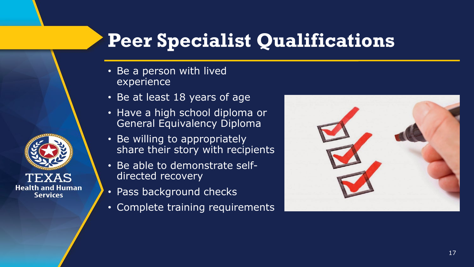# **Peer Specialist Qualifications**

- Be a person with lived experience
- Be at least 18 years of age
- Have a high school diploma or General Equivalency Diploma
- Be willing to appropriately share their story with recipients
- Be able to demonstrate selfdirected recovery
- Pass background checks

**Health and Human Services** 

• Complete training requirements



17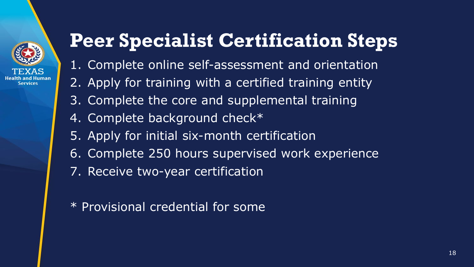

# **Peer Specialist Certification Steps**

- 1. Complete online self-assessment and orientation
- 2. Apply for training with a certified training entity
- 3. Complete the core and supplemental training
- 4. Complete background check\*
- 5. Apply for initial six-month certification
- 6. Complete 250 hours supervised work experience
- 7. Receive two-year certification
- \* Provisional credential for some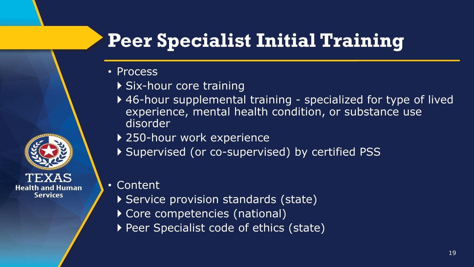# **Peer Specialist Initial Training**

- Process
	- ▶ Six-hour core training
	- ▶ 46-hour supplemental training specialized for type of lived experience, mental health condition, or substance use disorder
	- ▶ 250-hour work experience
	- Supervised (or co-supervised) by certified PSS
- Content

**Health and Human Services** 

- ▶ Service provision standards (state)
- Core competencies (national)
- Peer Specialist code of ethics (state)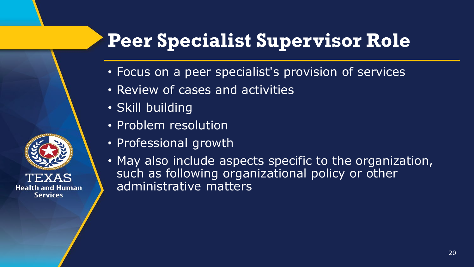# **Peer Specialist Supervisor Role**

- Focus on a peer specialist's provision of services
- Review of cases and activities
- Skill building
- Problem resolution
- Professional growth
- May also include aspects specific to the organization, such as following organizational policy or other administrative matters

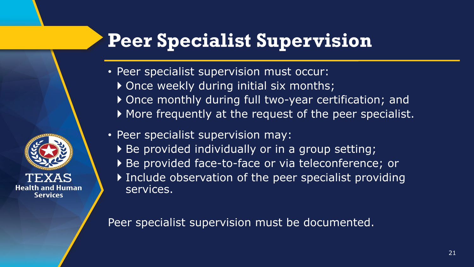# **Peer Specialist Supervision**

- Peer specialist supervision must occur:
	- ▶ Once weekly during initial six months;
	- Once monthly during full two-year certification; and
	- More frequently at the request of the peer specialist.
- Peer specialist supervision may:
	- ▶ Be provided individually or in a group setting;
	- ▶ Be provided face-to-face or via teleconference; or
	- Include observation of the peer specialist providing services.

Peer specialist supervision must be documented.

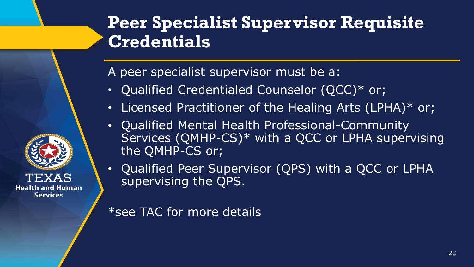

### **Peer Specialist Supervisor Requisite Credentials**

A peer specialist supervisor must be a:

- Qualified Credentialed Counselor (QCC)\* or;
- Licensed Practitioner of the Healing Arts (LPHA)\* or;
- Qualified Mental Health Professional-Community Services (QMHP-CS)\* with a QCC or LPHA supervising the QMHP-CS or;
- Qualified Peer Supervisor (QPS) with a QCC or LPHA supervising the QPS.

\*see TAC for more details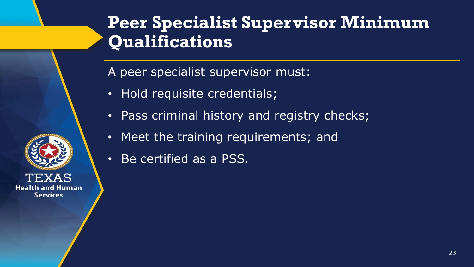

A peer specialist supervisor must:

- Hold requisite credentials;
- Pass criminal history and registry checks;
- Meet the training requirements; and
- Be certified as a PSS.

**Health and Human Services**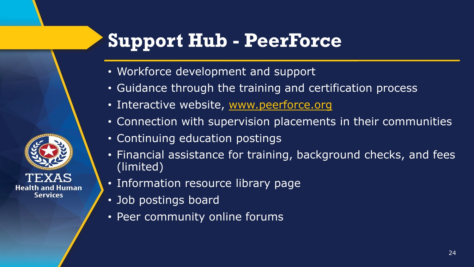## **Support Hub - PeerForce**

- Workforce development and support
- Guidance through the training and certification process
- Interactive website, [www.peerforce.org](http://www.peerforce.org/)
- Connection with supervision placements in their communities
- Continuing education postings
- Financial assistance for training, background checks, and fees (limited)
- Information resource library page
- Job postings board
- Peer community online forums

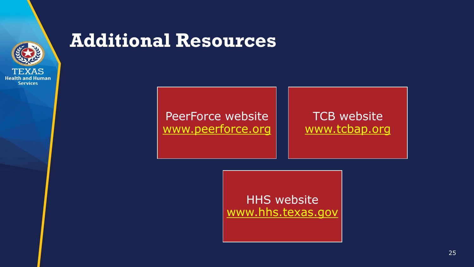

#### **Additional Resources**

PeerForce website [www.peerforce.org](http://www.peerforce.org/)

**TCB** website [www.tcbap.org](http://www.tcbap.org/)

HHS website [www.hhs.texas.gov](http://www.hhs.texas.gov/)